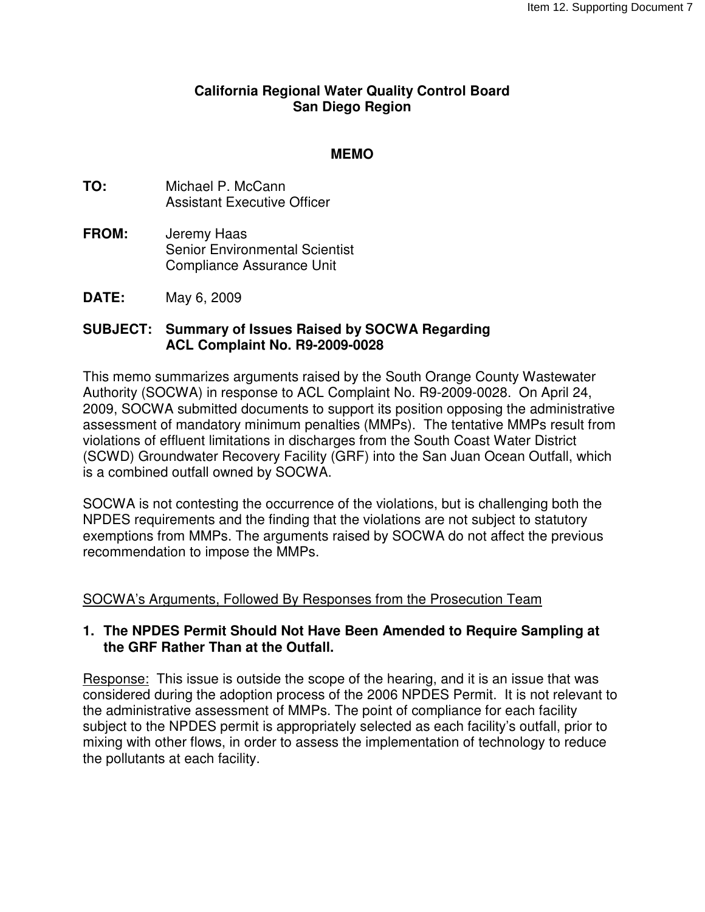#### **California Regional Water Quality Control Board San Diego Region**

#### **MEMO**

- **TO:** Michael P. McCann Assistant Executive Officer
- **FROM:** Jeremy Haas Senior Environmental Scientist Compliance Assurance Unit
- **DATE:** May 6, 2009

#### **SUBJECT: Summary of Issues Raised by SOCWA Regarding ACL Complaint No. R9-2009-0028**

This memo summarizes arguments raised by the South Orange County Wastewater Authority (SOCWA) in response to ACL Complaint No. R9-2009-0028. On April 24, 2009, SOCWA submitted documents to support its position opposing the administrative assessment of mandatory minimum penalties (MMPs). The tentative MMPs result from violations of effluent limitations in discharges from the South Coast Water District (SCWD) Groundwater Recovery Facility (GRF) into the San Juan Ocean Outfall, which is a combined outfall owned by SOCWA.

SOCWA is not contesting the occurrence of the violations, but is challenging both the NPDES requirements and the finding that the violations are not subject to statutory exemptions from MMPs. The arguments raised by SOCWA do not affect the previous recommendation to impose the MMPs.

#### SOCWA's Arguments, Followed By Responses from the Prosecution Team

## **1. The NPDES Permit Should Not Have Been Amended to Require Sampling at the GRF Rather Than at the Outfall.**

Response: This issue is outside the scope of the hearing, and it is an issue that was considered during the adoption process of the 2006 NPDES Permit. It is not relevant to the administrative assessment of MMPs. The point of compliance for each facility subject to the NPDES permit is appropriately selected as each facility's outfall, prior to mixing with other flows, in order to assess the implementation of technology to reduce the pollutants at each facility.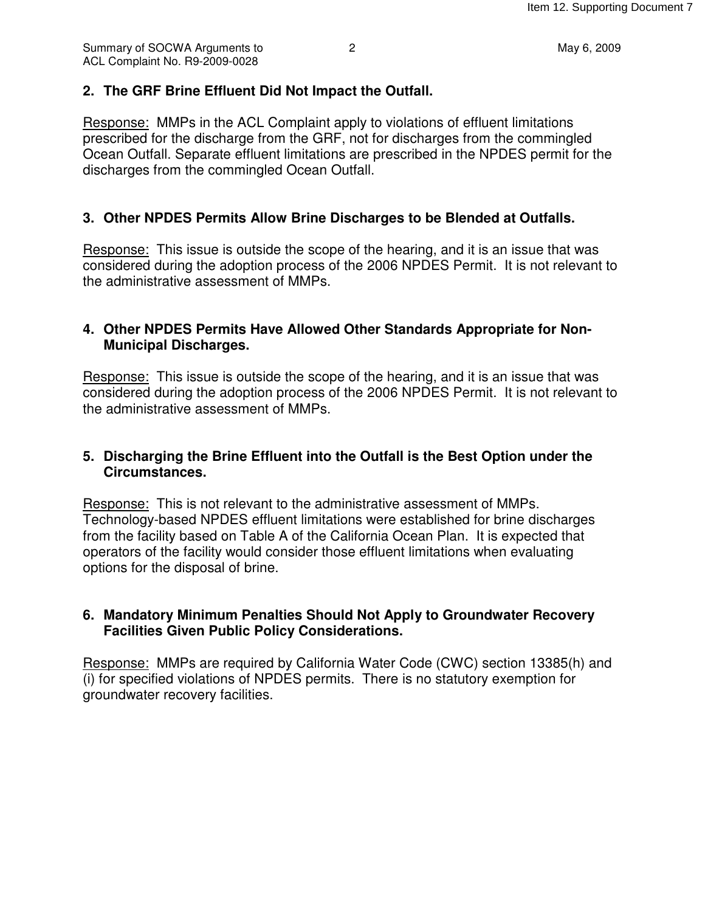# **2. The GRF Brine Effluent Did Not Impact the Outfall.**

Response: MMPs in the ACL Complaint apply to violations of effluent limitations prescribed for the discharge from the GRF, not for discharges from the commingled Ocean Outfall. Separate effluent limitations are prescribed in the NPDES permit for the discharges from the commingled Ocean Outfall.

# **3. Other NPDES Permits Allow Brine Discharges to be Blended at Outfalls.**

Response: This issue is outside the scope of the hearing, and it is an issue that was considered during the adoption process of the 2006 NPDES Permit. It is not relevant to the administrative assessment of MMPs.

#### **4. Other NPDES Permits Have Allowed Other Standards Appropriate for Non-Municipal Discharges.**

Response: This issue is outside the scope of the hearing, and it is an issue that was considered during the adoption process of the 2006 NPDES Permit. It is not relevant to the administrative assessment of MMPs.

## **5. Discharging the Brine Effluent into the Outfall is the Best Option under the Circumstances.**

Response: This is not relevant to the administrative assessment of MMPs. Technology-based NPDES effluent limitations were established for brine discharges from the facility based on Table A of the California Ocean Plan. It is expected that operators of the facility would consider those effluent limitations when evaluating options for the disposal of brine.

## **6. Mandatory Minimum Penalties Should Not Apply to Groundwater Recovery Facilities Given Public Policy Considerations.**

Response: MMPs are required by California Water Code (CWC) section 13385(h) and (i) for specified violations of NPDES permits. There is no statutory exemption for groundwater recovery facilities.